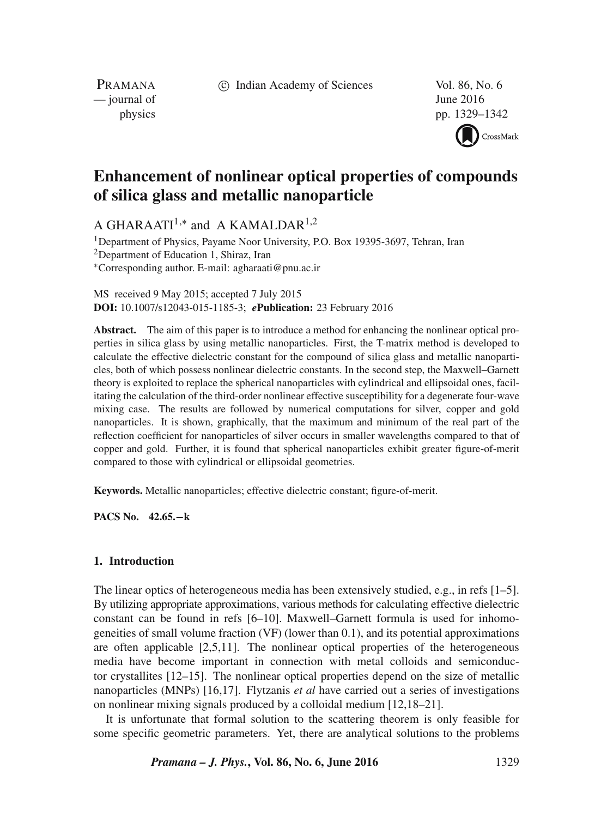c Indian Academy of Sciences Vol. 86, No. 6

PRAMANA  $\frac{1}{2016}$  June 2016

physics pp. 1329–1342

CrossMark

# **Enhancement of nonlinear optical properties of compounds of silica glass and metallic nanoparticle**

A GHARAATI<sup>1,\*</sup> and A KAMALDAR<sup>1,2</sup>

<sup>1</sup>Department of Physics, Payame Noor University, P.O. Box 19395-3697, Tehran, Iran 2Department of Education 1, Shiraz, Iran ∗Corresponding author. E-mail: agharaati@pnu.ac.ir

MS received 9 May 2015; accepted 7 July 2015 **DOI:** 10.1007/s12043-015-1185-3; *e***Publication:** 23 February 2016

**Abstract.** The aim of this paper is to introduce a method for enhancing the nonlinear optical properties in silica glass by using metallic nanoparticles. First, the T-matrix method is developed to calculate the effective dielectric constant for the compound of silica glass and metallic nanoparticles, both of which possess nonlinear dielectric constants. In the second step, the Maxwell–Garnett theory is exploited to replace the spherical nanoparticles with cylindrical and ellipsoidal ones, facilitating the calculation of the third-order nonlinear effective susceptibility for a degenerate four-wave mixing case. The results are followed by numerical computations for silver, copper and gold nanoparticles. It is shown, graphically, that the maximum and minimum of the real part of the reflection coefficient for nanoparticles of silver occurs in smaller wavelengths compared to that of copper and gold. Further, it is found that spherical nanoparticles exhibit greater figure-of-merit compared to those with cylindrical or ellipsoidal geometries.

**Keywords.** Metallic nanoparticles; effective dielectric constant; figure-of-merit.

**PACS No. 42.65.−k**

## **1. Introduction**

The linear optics of heterogeneous media has been extensively studied, e.g., in refs [1–5]. By utilizing appropriate approximations, various methods for calculating effective dielectric constant can be found in refs [6–10]. Maxwell–Garnett formula is used for inhomogeneities of small volume fraction (VF) (lower than 0.1), and its potential approximations are often applicable [2,5,11]. The nonlinear optical properties of the heterogeneous media have become important in connection with metal colloids and semiconductor crystallites [12–15]. The nonlinear optical properties depend on the size of metallic nanoparticles (MNPs) [16,17]. Flytzanis *et al* have carried out a series of investigations on nonlinear mixing signals produced by a colloidal medium [12,18–21].

It is unfortunate that formal solution to the scattering theorem is only feasible for some specific geometric parameters. Yet, there are analytical solutions to the problems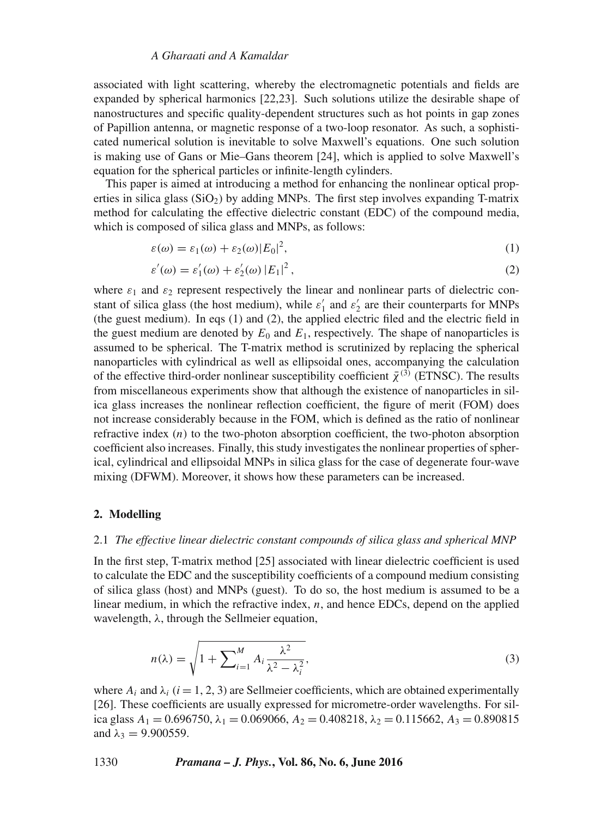## *A Gharaati and A Kamaldar*

associated with light scattering, whereby the electromagnetic potentials and fields are expanded by spherical harmonics [22,23]. Such solutions utilize the desirable shape of nanostructures and specific quality-dependent structures such as hot points in gap zones of Papillion antenna, or magnetic response of a two-loop resonator. As such, a sophisticated numerical solution is inevitable to solve Maxwell's equations. One such solution is making use of Gans or Mie–Gans theorem [24], which is applied to solve Maxwell's equation for the spherical particles or infinite-length cylinders.

This paper is aimed at introducing a method for enhancing the nonlinear optical properties in silica glass  $(SiO<sub>2</sub>)$  by adding MNPs. The first step involves expanding T-matrix method for calculating the effective dielectric constant (EDC) of the compound media, which is composed of silica glass and MNPs, as follows:

$$
\varepsilon(\omega) = \varepsilon_1(\omega) + \varepsilon_2(\omega)|E_0|^2,
$$
\n(1)

$$
\varepsilon'(\omega) = \varepsilon'_1(\omega) + \varepsilon'_2(\omega) |E_1|^2, \tag{2}
$$

where  $\varepsilon_1$  and  $\varepsilon_2$  represent respectively the linear and nonlinear parts of dielectric constant of silica glass (the host medium), while  $\varepsilon'_1$  and  $\varepsilon'_2$  are their counterparts for MNPs<br>(the quest medium). In eqs. (1) and (2) the annlied electric filed and the electric field in (the guest medium). In eqs (1) and (2), the applied electric filed and the electric field in the guest medium are denoted by  $E_0$  and  $E_1$ , respectively. The shape of nanoparticles is assumed to be spherical. The T-matrix method is scrutinized by replacing the spherical nanoparticles with cylindrical as well as ellipsoidal ones, accompanying the calculation of the effective third-order nonlinear susceptibility coefficient  $\bar{\chi}^{(3)}$  (ETNSC). The results from miscellaneous experiments show that although the existence of nanoparticles in silica glass increases the nonlinear reflection coefficient, the figure of merit (FOM) does not increase considerably because in the FOM, which is defined as the ratio of nonlinear refractive index  $(n)$  to the two-photon absorption coefficient, the two-photon absorption coefficient also increases. Finally, this study investigates the nonlinear properties of spherical, cylindrical and ellipsoidal MNPs in silica glass for the case of degenerate four-wave mixing (DFWM). Moreover, it shows how these parameters can be increased.

#### **2. Modelling**

## 2.1 *The effecti*v*e linear dielectric constant compounds of silica glass and spherical MNP*

In the first step, T-matrix method [25] associated with linear dielectric coefficient is used to calculate the EDC and the susceptibility coefficients of a compound medium consisting of silica glass (host) and MNPs (guest). To do so, the host medium is assumed to be a linear medium, in which the refractive index,  $n$ , and hence EDCs, depend on the applied wavelength,  $\lambda$ , through the Sellmeier equation,

$$
n(\lambda) = \sqrt{1 + \sum_{i=1}^{M} A_i \frac{\lambda^2}{\lambda^2 - \lambda_i^2}},
$$
\n(3)

where  $A_i$  and  $\lambda_i$  ( $i = 1, 2, 3$ ) are Sellmeier coefficients, which are obtained experimentally [26]. These coefficients are usually expressed for micrometre-order wavelengths. For silica glass  $A_1 = 0.696750$ ,  $\lambda_1 = 0.069066$ ,  $A_2 = 0.408218$ ,  $\lambda_2 = 0.115662$ ,  $A_3 = 0.890815$ and  $\lambda_3 = 9.900559$ .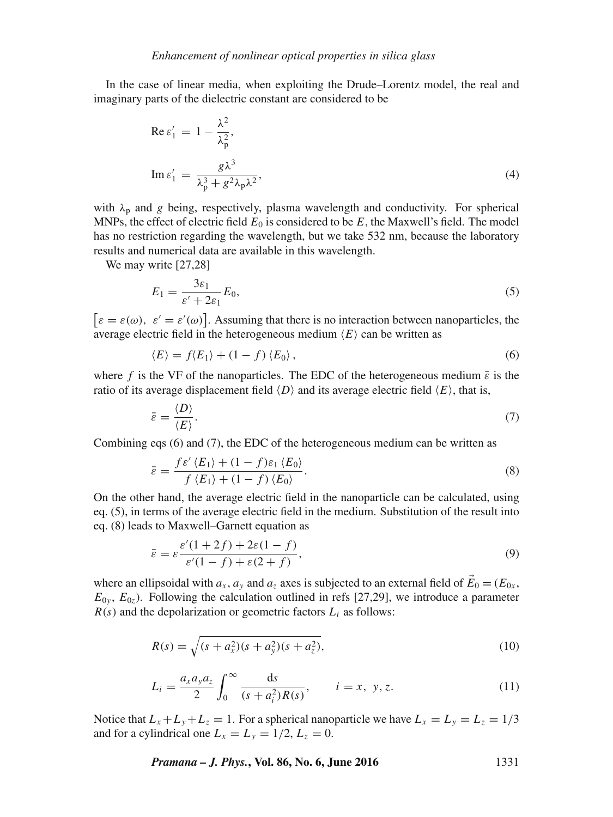In the case of linear media, when exploiting the Drude–Lorentz model, the real and imaginary parts of the dielectric constant are considered to be

$$
\operatorname{Re}\varepsilon_1' = 1 - \frac{\lambda^2}{\lambda_p^2},
$$
  

$$
\operatorname{Im}\varepsilon_1' = \frac{g\lambda^3}{\lambda_p^3 + g^2\lambda_p\lambda^2},
$$
 (4)

with  $\lambda_p$  and g being, respectively, plasma wavelength and conductivity. For spherical MNPs, the effect of electric field  $E_0$  is considered to be E, the Maxwell's field. The model has no restriction regarding the wavelength, but we take 532 nm, because the laboratory results and numerical data are available in this wavelength.

We may write [27,28]

$$
E_1 = \frac{3\varepsilon_1}{\varepsilon' + 2\varepsilon_1} E_0,\tag{5}
$$

 $\epsilon = \varepsilon(\omega)$ ,  $\varepsilon' = \varepsilon'(\omega)$ . Assuming that there is no interaction between nanoparticles, the average electric field in the beterogeneous medium  $\langle F \rangle$  can be written as average electric field in the heterogeneous medium  $\langle E \rangle$  can be written as

$$
\langle E \rangle = f \langle E_1 \rangle + (1 - f) \langle E_0 \rangle, \tag{6}
$$

where f is the VF of the nanoparticles. The EDC of the heterogeneous medium  $\bar{\varepsilon}$  is the ratio of its average displacement field  $\langle D \rangle$  and its average electric field  $\langle E \rangle$ , that is,

$$
\bar{\varepsilon} = \frac{\langle D \rangle}{\langle E \rangle}.
$$
\n(7)

E Combining eqs (6) and (7), the EDC of the heterogeneous medium can be written as

$$
\bar{\varepsilon} = \frac{f \varepsilon'(E_1) + (1 - f)\varepsilon_1 \langle E_0 \rangle}{f \langle E_1 \rangle + (1 - f) \langle E_0 \rangle}.
$$
\nOn the other hand, the average electric field in the nanoparticle can be calculated, using

eq. (5), in terms of the average electric field in the medium. Substitution of the result into eq. (8) leads to Maxwell–Garnett equation as

$$
\bar{\varepsilon} = \varepsilon \frac{\varepsilon'(1+2f) + 2\varepsilon(1-f)}{\varepsilon'(1-f) + \varepsilon(2+f)},\tag{9}
$$

where an ellipsoidal with  $a_x$ ,  $a_y$  and  $a_z$  axes is subjected to an external field of  $E_0 = (E_{0x},$  $E_{0y}$ ,  $E_{0z}$ ). Following the calculation outlined in refs [27,29], we introduce a parameter  $R(s)$  and the depolarization or geometric factors  $L<sub>i</sub>$  as follows:

$$
R(s) = \sqrt{(s + a_x^2)(s + a_y^2)(s + a_z^2)},
$$
\n(10)

$$
L_i = \frac{a_x a_y a_z}{2} \int_0^\infty \frac{ds}{(s + a_i^2) R(s)}, \qquad i = x, \ y, z. \tag{11}
$$

Notice that  $L_x + L_y + L_z = 1$ . For a spherical nanoparticle we have  $L_x = L_y = L_z = 1/3$ and for a cylindrical one  $L_x = L_y = 1/2$ ,  $L_z = 0$ .

*Pramana – J. Phys.***, Vol. 86, No. 6, June 2016** 1331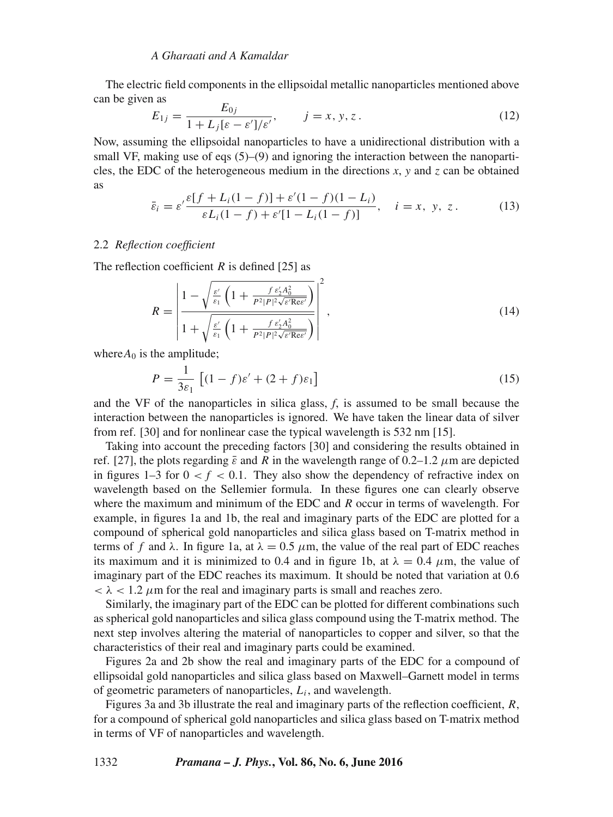## *A Gharaati and A Kamaldar*

The electric field components in the ellipsoidal metallic nanoparticles mentioned above can be given as

$$
E_{1j} = \frac{E_{0j}}{1 + L_j[\varepsilon - \varepsilon']/\varepsilon'}, \qquad j = x, y, z.
$$
 (12)

Now, assuming the ellipsoidal nanoparticles to have a unidirectional distribution with a<br>Now, assuming the ellipsoidal nanoparticles to have a unidirectional distribution with a small VF, making use of eqs  $(5)$ – $(9)$  and ignoring the interaction between the nanoparticles, the EDC of the heterogeneous medium in the directions *x*, *y* and *z* can be obtained as

$$
\bar{\varepsilon}_i = \varepsilon' \frac{\varepsilon [f + L_i (1 - f)] + \varepsilon' (1 - f)(1 - L_i)}{\varepsilon L_i (1 - f) + \varepsilon' [1 - L_i (1 - f)]}, \quad i = x, \ y, \ z. \tag{13}
$$

#### 2.2 *Reflection coefficient*

The reflection coefficient  $R$  is defined [25] as

$$
R = \left| \frac{1 - \sqrt{\frac{\varepsilon'}{\varepsilon_1} \left( 1 + \frac{f \varepsilon_2' A_0^2}{P^2 | P|^2 \sqrt{\varepsilon'} \text{Re}\varepsilon'} \right)}}{1 + \sqrt{\frac{\varepsilon'}{\varepsilon_1} \left( 1 + \frac{f \varepsilon_2' A_0^2}{P^2 | P|^2 \sqrt{\varepsilon'} \text{Re}\varepsilon'} \right)}} \right|^2, \tag{14}
$$

where $A_0$  is the amplitude;

$$
P = \frac{1}{3\varepsilon_1} \left[ (1 - f)\varepsilon' + (2 + f)\varepsilon_1 \right]
$$
  
and the VF of the nanoparticles in silica glass, f, is assumed to be small because the

interaction between the nanoparticles is ignored. We have taken the linear data of silver from ref. [30] and for nonlinear case the typical wavelength is 532 nm [15].

Taking into account the preceding factors [30] and considering the results obtained in ref. [27], the plots regarding  $\bar{\varepsilon}$  and R in the wavelength range of 0.2–1.2  $\mu$ m are depicted in figures  $1-3$  for  $0 < f < 0.1$ . They also show the dependency of refractive index on wavelength based on the Sellemier formula. In these figures one can clearly observe where the maximum and minimum of the EDC and  $R$  occur in terms of wavelength. For example, in figures 1a and 1b, the real and imaginary parts of the EDC are plotted for a compound of spherical gold nanoparticles and silica glass based on T-matrix method in terms of f and λ. In figure 1a, at  $\lambda = 0.5 \mu$ m, the value of the real part of EDC reaches its maximum and it is minimized to 0.4 and in figure 1b, at  $\lambda = 0.4 \mu$ m, the value of imaginary part of the EDC reaches its maximum. It should be noted that variation at 0.6  $< \lambda < 1.2 \mu$ m for the real and imaginary parts is small and reaches zero.

Similarly, the imaginary part of the EDC can be plotted for different combinations such as spherical gold nanoparticles and silica glass compound using the T-matrix method. The next step involves altering the material of nanoparticles to copper and silver, so that the characteristics of their real and imaginary parts could be examined.

Figures 2a and 2b show the real and imaginary parts of the EDC for a compound of ellipsoidal gold nanoparticles and silica glass based on Maxwell–Garnett model in terms of geometric parameters of nanoparticles,  $L_i$ , and wavelength.

Figures 3a and 3b illustrate the real and imaginary parts of the reflection coefficient, R, for a compound of spherical gold nanoparticles and silica glass based on T-matrix method in terms of VF of nanoparticles and wavelength.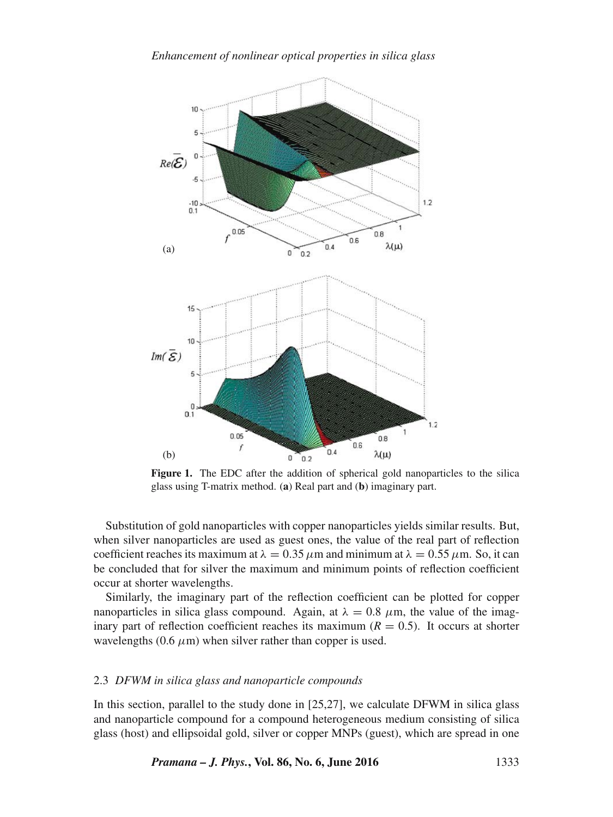

**Figure 1.** The EDC after the addition of spherical gold nanoparticles to the silica glass using T-matrix method. (**a**) Real part and (**b**) imaginary part.

Substitution of gold nanoparticles with copper nanoparticles yields similar results. But, when silver nanoparticles are used as guest ones, the value of the real part of reflection coefficient reaches its maximum at  $\lambda = 0.35 \mu$ m and minimum at  $\lambda = 0.55 \mu$ m. So, it can be concluded that for silver the maximum and minimum points of reflection coefficient occur at shorter wavelengths.

Similarly, the imaginary part of the reflection coefficient can be plotted for copper nanoparticles in silica glass compound. Again, at  $\lambda = 0.8$   $\mu$ m, the value of the imaginary part of reflection coefficient reaches its maximum  $(R = 0.5)$ . It occurs at shorter wavelengths  $(0.6 \mu m)$  when silver rather than copper is used.

## 2.3 *DFWM in silica glass and nanoparticle compounds*

In this section, parallel to the study done in [25,27], we calculate DFWM in silica glass and nanoparticle compound for a compound heterogeneous medium consisting of silica glass (host) and ellipsoidal gold, silver or copper MNPs (guest), which are spread in one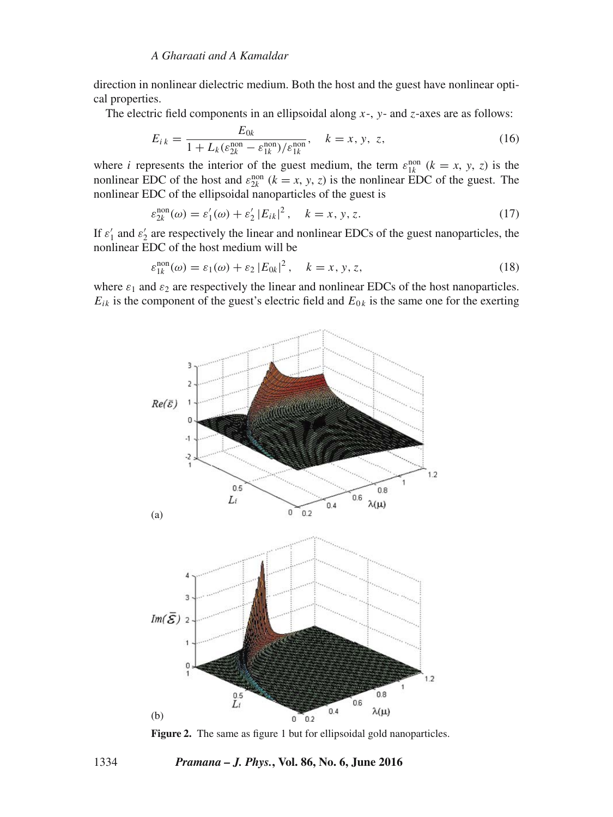direction in nonlinear dielectric medium. Both the host and the guest have nonlinear optical properties.

The electric field components in an ellipsoidal along  $x-$ ,  $y-$  and  $z$ -axes are as follows:

$$
E_{ik} = \frac{E_{0k}}{1 + L_k(\varepsilon_{2k}^{\text{non}} - \varepsilon_{1k}^{\text{non}})/\varepsilon_{1k}^{\text{non}}}, \quad k = x, y, z,
$$
 (16)

where *i* represents the interior of the guest medium, the term  $\varepsilon_{1k}^{nor}$   $(k = x, y, z)$  is the nonlinear FDC of the bost and  $\varepsilon_{1k}^{non}$   $(k = x, y, z)$  is the nonlinear FDC of the quest. The nonlinear EDC of the host and  $\varepsilon_{2k}^{non}$  ( $k = x, y, z$ ) is the nonlinear EDC of the guest. The nonlinear EDC of the ellipsoidal nanoparticles of the quest is nonlinear EDC of the ellipsoidal nanoparticles of the guest is

$$
\varepsilon_{2k}^{\text{non}}(\omega) = \varepsilon_1'(\omega) + \varepsilon_2' |E_{ik}|^2, \quad k = x, y, z. \tag{17}
$$

If  $\varepsilon'_1$  and  $\varepsilon'_2$  are respectively the linear and nonlinear EDCs of the guest nanoparticles, the nonlinear EDC of the host medium will be nonlinear EDC of the host medium will be

$$
\varepsilon_{1k}^{\text{non}}(\omega) = \varepsilon_1(\omega) + \varepsilon_2 |E_{0k}|^2, \quad k = x, y, z,
$$
\n(18)

where  $\varepsilon_1$  and  $\varepsilon_2$  are respectively the linear and nonlinear EDCs of the host nanoparticles.<br> $F_{11}$  is the component of the guest's electric field and  $F_{01}$  is the same one for the exerting  $E_{ik}$  is the component of the guest's electric field and  $E_{0k}$  is the same one for the exerting



**Figure 2.** The same as figure 1 but for ellipsoidal gold nanoparticles.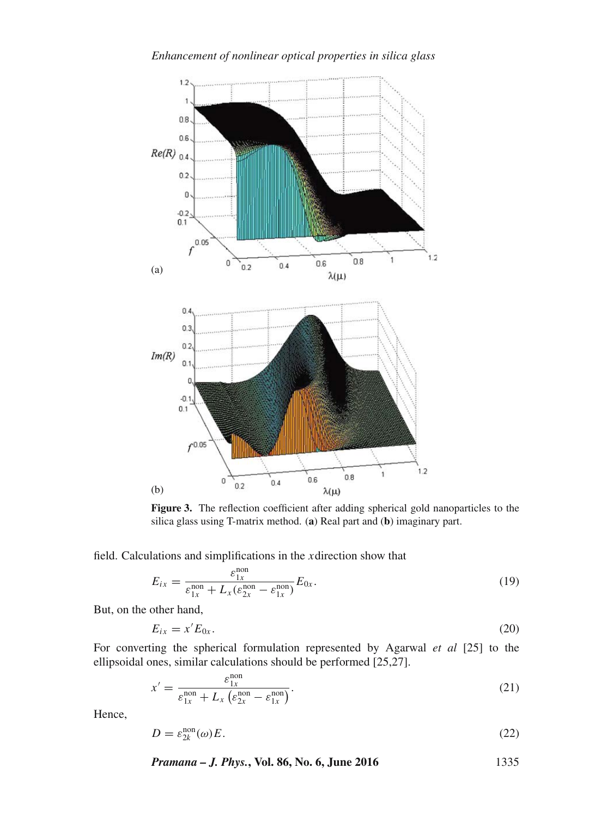

Figure 3. The reflection coefficient after adding spherical gold nanoparticles to the silica glass using T-matrix method. (**a**) Real part and (**b**) imaginary part.

field. Calculations and simplifications in the xdirection show that

$$
E_{ix} = \frac{\varepsilon_{1x}^{\text{non}}}{\varepsilon_{1x}^{\text{non}} + L_x(\varepsilon_{2x}^{\text{non}} - \varepsilon_{1x}^{\text{non}})} E_{0x}.
$$
\n(19)

But, on the other hand,

$$
E_{ix} = x'E_{0x}.\tag{20}
$$

For converting the spherical formulation represented by Agarwal *et al* [25] to the ellipsoidal ones, similar calculations should be performed [25,27].

$$
x' = \frac{\varepsilon_{1x}^{\text{non}}}{\varepsilon_{1x}^{\text{non}} + L_x \left(\varepsilon_{2x}^{\text{non}} - \varepsilon_{1x}^{\text{non}}\right)}.
$$
\n(21)

Hence,

$$
D = \varepsilon_{2k}^{\text{non}}(\omega)E. \tag{22}
$$

*Pramana – J. Phys.***, Vol. 86, No. 6, June 2016** 1335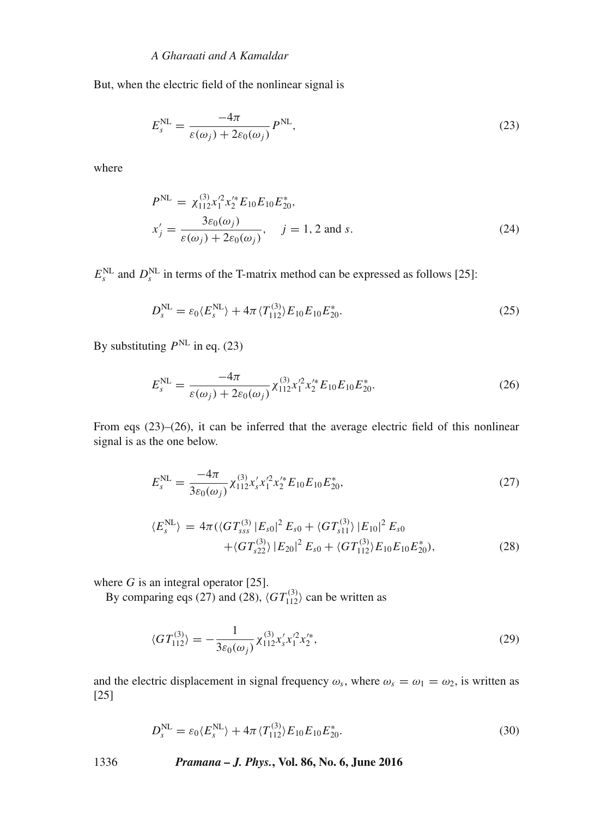But, when the electric field of the nonlinear signal is

$$
E_s^{\text{NL}} = \frac{-4\pi}{\varepsilon(\omega_j) + 2\varepsilon_0(\omega_j)} P^{\text{NL}},
$$
\n(23)

where

$$
PNL = \chi_{112}^{(3)} \chi_1^2 \chi_2^* E_{10} E_{10} E_{20}^*,
$$
  
\n
$$
\chi_j' = \frac{3\varepsilon_0(\omega_j)}{\varepsilon(\omega_j) + 2\varepsilon_0(\omega_j)}, \quad j = 1, 2 \text{ and } s.
$$
 (24)

 $E_s^{\text{NL}}$  and  $D_s^{\text{NL}}$  in terms of the T-matrix method can be expressed as follows [25]:

$$
D_s^{\text{NL}} = \varepsilon_0 \langle E_s^{\text{NL}} \rangle + 4\pi \langle T_{112}^{(3)} \rangle E_{10} E_{10} E_{20}^*.
$$
 (25)

By substituting  $P<sup>NL</sup>$  in eq. (23)

$$
E_s^{\text{NL}} = \frac{-4\pi}{\varepsilon(\omega_j) + 2\varepsilon_0(\omega_j)} \chi_{112}^{(3)} \chi_1'^2 \chi_2'^* E_{10} E_{10} E_{20}^*.
$$
 (26)

From eqs (23)–(26), it can be inferred that the average electric field of this nonlinear signal is as the one below.

$$
E_s^{\text{NL}} = \frac{-4\pi}{3\varepsilon_0(\omega_j)} \chi_{112}^{(3)} \chi_s' \chi_1'^2 \chi_2'^* E_{10} E_{10} E_{20}^*,
$$
 (27)

$$
\langle E_s^{\text{NL}} \rangle = 4\pi \left( \langle G T_{sss}^{(3)} | E_{s0} |^2 E_{s0} + \langle G T_{s11}^{(3)} \rangle | E_{10} |^2 E_{s0} + \langle G T_{s22}^{(3)} \rangle | E_{20} |^2 E_{s0} + \langle G T_{112}^{(3)} \rangle E_{10} E_{10} E_{20}^* \right), \tag{28}
$$

where G is an integral operator [25].<br>By comparing eqs.  $(27)$  and  $(28)$ .

By comparing eqs (27) and (28),  $\langle GT_{112}^{(3)} \rangle$  can be written as

$$
\langle GT_{112}^{(3)} \rangle = -\frac{1}{3\varepsilon_0(\omega_j)} \chi_{112}^{(3)} \chi_s' \chi_1'^2 \chi_2'^*,\tag{29}
$$

and the electric displacement in signal frequency  $\omega_s$ , where  $\omega_s = \omega_1 = \omega_2$ , is written as [25]

$$
D_s^{\text{NL}} = \varepsilon_0 \langle E_s^{\text{NL}} \rangle + 4\pi \langle T_{112}^{(3)} \rangle E_{10} E_{10} E_{20}^*.
$$
 (30)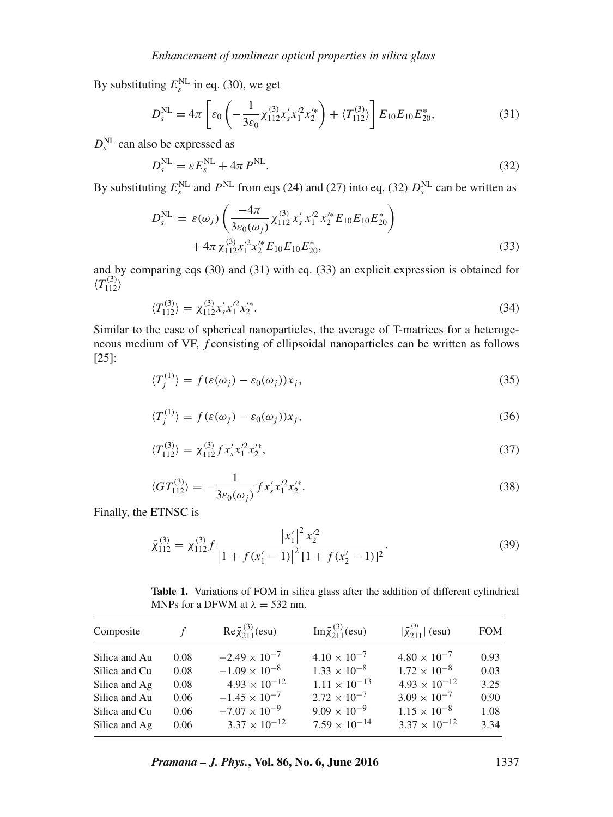By substituting  $E_s^{\text{NL}}$  in eq. (30), we get

$$
D_s^{\text{NL}} = 4\pi \left[ \varepsilon_0 \left( -\frac{1}{3\varepsilon_0} \chi_{112}^{(3)} x_s' x_1'^2 x_2'^* \right) + \langle T_{112}^{(3)} \rangle \right] E_{10} E_{10} E_{20}^*, \tag{31}
$$

 $D_s^{\text{NL}}$  can also be expressed as

$$
D_s^{\text{NL}} = \varepsilon E_s^{\text{NL}} + 4\pi P^{\text{NL}}.
$$
\n(32)

By substituting  $E_s^{\text{NL}}$  and  $P^{\text{NL}}$  from eqs (24) and (27) into eq. (32)  $D_s^{\text{NL}}$  can be written as

$$
D_s^{\text{NL}} = \varepsilon(\omega_j) \left( \frac{-4\pi}{3\varepsilon_0(\omega_j)} \chi_{112}^{(3)} \chi_s' \chi_1'^2 \chi_2'^* E_{10} E_{10} E_{20}^* \right) + 4\pi \chi_{112}^{(3)} \chi_1'^2 \chi_2'^* E_{10} E_{10} E_{20}^*,
$$
\n(33)

and by comparing eqs (30) and (31) with eq. (33) an explicit expression is obtained for  $\langle T_{112}^{(3)} \rangle$ 

$$
\langle T_{112}^{(3)} \rangle = \chi_{112}^{(3)} x_s' x_1'^2 x_2'^*.
$$
\n(34)

Similar to the case of spherical nanoparticles, the average of T-matrices for a heterogeneous medium of VF, *f* consisting of ellipsoidal nanoparticles can be written as follows [25]:

$$
\langle T_j^{(1)} \rangle = f(\varepsilon(\omega_j) - \varepsilon_0(\omega_j))x_j,\tag{35}
$$

$$
\langle T_j^{(1)} \rangle = f(\varepsilon(\omega_j) - \varepsilon_0(\omega_j))x_j,\tag{36}
$$

$$
\langle T_{112}^{(3)} \rangle = \chi_{112}^{(3)} f \chi_s' \chi_1'^2 \chi_2'^*,\tag{37}
$$

$$
\langle GT_{112}^{(3)} \rangle = -\frac{1}{3\varepsilon_0(\omega_j)} f x_s' x_1'^2 x_2'^*.
$$
\n(38)

Finally, the ETNSC is

$$
\bar{\chi}_{112}^{(3)} = \chi_{112}^{(3)} f \frac{|x_1'|^2 x_2'^2}{|1 + f(x_1' - 1)|^2 [1 + f(x_2' - 1)]^2}.
$$
\n(39)

**Table 1.** Variations of FOM in silica glass after the addition of different cylindrical MNPs for a DFWM at  $\lambda = 532$  nm.

| Composite     | f    | $\text{Re}\bar{\chi}_{211}^{(3)}(\text{esu})$ | $\text{Im}\,\bar{\chi}^{(3)}_{211}(\text{esu})$ | $ \bar{\chi}_{211}^{(3)} $ (esu) | <b>FOM</b> |
|---------------|------|-----------------------------------------------|-------------------------------------------------|----------------------------------|------------|
| Silica and Au | 0.08 | $-2.49 \times 10^{-7}$                        | $4.10 \times 10^{-7}$                           | $4.80 \times 10^{-7}$            | 0.93       |
| Silica and Cu | 0.08 | $-1.09 \times 10^{-8}$                        | $1.33 \times 10^{-8}$                           | $1.72 \times 10^{-8}$            | 0.03       |
| Silica and Ag | 0.08 | $4.93 \times 10^{-12}$                        | $1.11 \times 10^{-13}$                          | $4.93 \times 10^{-12}$           | 3.25       |
| Silica and Au | 0.06 | $-1.45 \times 10^{-7}$                        | $2.72 \times 10^{-7}$                           | $3.09 \times 10^{-7}$            | 0.90       |
| Silica and Cu | 0.06 | $-7.07 \times 10^{-9}$                        | $9.09 \times 10^{-9}$                           | $1.15 \times 10^{-8}$            | 1.08       |
| Silica and Ag | 0.06 | $3.37 \times 10^{-12}$                        | $7.59 \times 10^{-14}$                          | $3.37 \times 10^{-12}$           | 3.34       |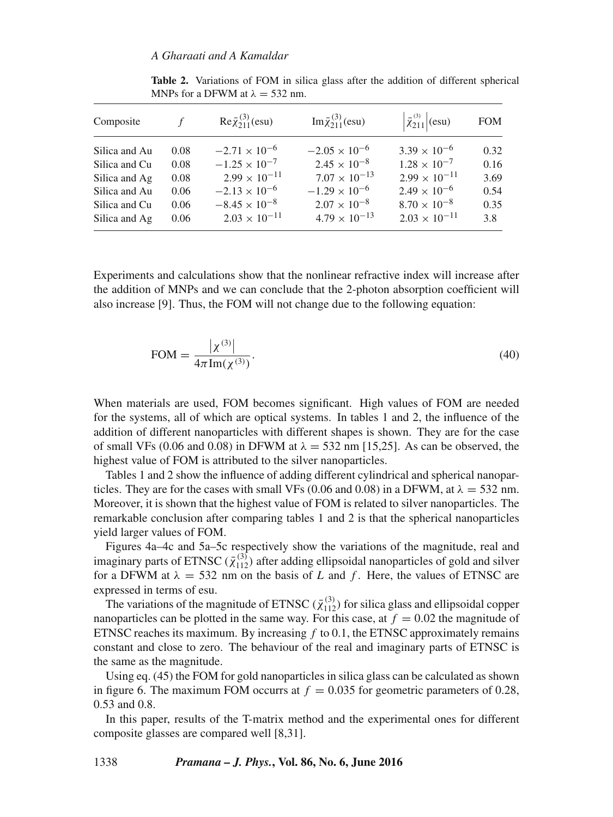| Composite     |      | $\text{Re}\bar{\chi}_{211}^{(3)}(\text{esu})$ | $\text{Im}\bar{\chi}_{211}^{(3)}(\text{esu})$ | $\left \bar{\chi}_{211}^{(3)}\right $ (esu) | <b>FOM</b> |
|---------------|------|-----------------------------------------------|-----------------------------------------------|---------------------------------------------|------------|
| Silica and Au | 0.08 | $-2.71 \times 10^{-6}$                        | $-2.05 \times 10^{-6}$                        | $3.39 \times 10^{-6}$                       | 0.32       |
| Silica and Cu | 0.08 | $-1.25 \times 10^{-7}$                        | $2.45 \times 10^{-8}$                         | $1.28 \times 10^{-7}$                       | 0.16       |
| Silica and Ag | 0.08 | $2.99 \times 10^{-11}$                        | $7.07 \times 10^{-13}$                        | $2.99 \times 10^{-11}$                      | 3.69       |
| Silica and Au | 0.06 | $-2.13 \times 10^{-6}$                        | $-1.29 \times 10^{-6}$                        | $2.49 \times 10^{-6}$                       | 0.54       |
| Silica and Cu | 0.06 | $-8.45 \times 10^{-8}$                        | $2.07 \times 10^{-8}$                         | $8.70 \times 10^{-8}$                       | 0.35       |
| Silica and Ag | 0.06 | $2.03 \times 10^{-11}$                        | $4.79 \times 10^{-13}$                        | $2.03 \times 10^{-11}$                      | 3.8        |

**Table 2.** Variations of FOM in silica glass after the addition of different spherical MNPs for a DFWM at  $\lambda = 532$  nm.

Experiments and calculations show that the nonlinear refractive index will increase after the addition of MNPs and we can conclude that the 2-photon absorption coefficient will also increase [9]. Thus, the FOM will not change due to the following equation:

$$
FOM = \frac{|\chi^{(3)}|}{4\pi \text{Im}(\chi^{(3)})}.
$$
\n(40)

When materials are used, FOM becomes significant. High values of FOM are needed for the systems, all of which are optical systems. In tables 1 and 2, the influence of the addition of different nanoparticles with different shapes is shown. They are for the case of small VFs (0.06 and 0.08) in DFWM at  $\lambda = 532$  nm [15,25]. As can be observed, the highest value of FOM is attributed to the silver nanoparticles.

Tables 1 and 2 show the influence of adding different cylindrical and spherical nanoparticles. They are for the cases with small VFs (0.06 and 0.08) in a DFWM, at  $\lambda = 532$  nm. Moreover, it is shown that the highest value of FOM is related to silver nanoparticles. The remarkable conclusion after comparing tables 1 and 2 is that the spherical nanoparticles yield larger values of FOM.

Figures 4a–4c and 5a–5c respectively show the variations of the magnitude, real and imaginary parts of ETNSC  $(\bar{\chi}_{112}^{(3)})$  after adding ellipsoidal nanoparticles of gold and silver<br>for a DEWM at  $\lambda = 532$  nm on the basis of L and f. Here, the values of ETNSC are for a DFWM at  $\lambda = 532$  nm on the basis of L and f. Here, the values of ETNSC are expressed in terms of esu.

The variations of the magnitude of ETNSC  $(\bar{\chi}_{112}^{(3)})$  for silica glass and ellipsoidal copper<br>nonarticles can be plotted in the same way. For this case, at  $f = 0.02$  the magnitude of nanoparticles can be plotted in the same way. For this case, at  $f = 0.02$  the magnitude of ETNSC reaches its maximum. By increasing  $f \text{ to } 0.1$ , the ETNSC approximately remains constant and close to zero. The behaviour of the real and imaginary parts of ETNSC is the same as the magnitude.

Using eq. (45) the FOM for gold nanoparticles in silica glass can be calculated as shown in figure 6. The maximum FOM occurrs at  $f = 0.035$  for geometric parameters of 0.28, 0.53 and 0.8.

In this paper, results of the T-matrix method and the experimental ones for different composite glasses are compared well [8,31].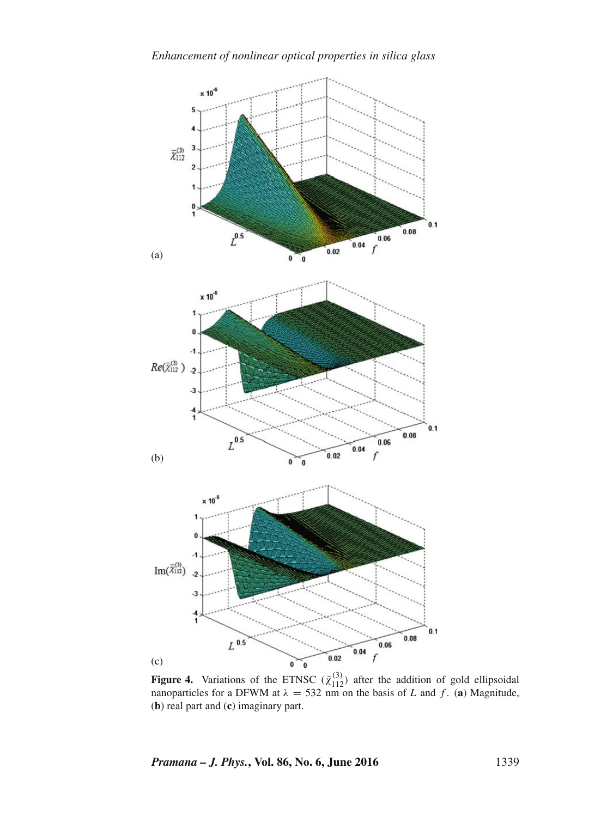

**Figure 4.** Variations of the ETNSC  $(\bar{\chi}_{112}^{(3)})$  after the addition of gold ellipsoidal paperticles for a DEWM at  $\lambda = 532$  nm on the basis of L and f. (a) Magnitude nanoparticles for a DFWM at  $\lambda = 532$  nm on the basis of L and f. (a) Magnitude, (**b**) real part and (**c**) imaginary part.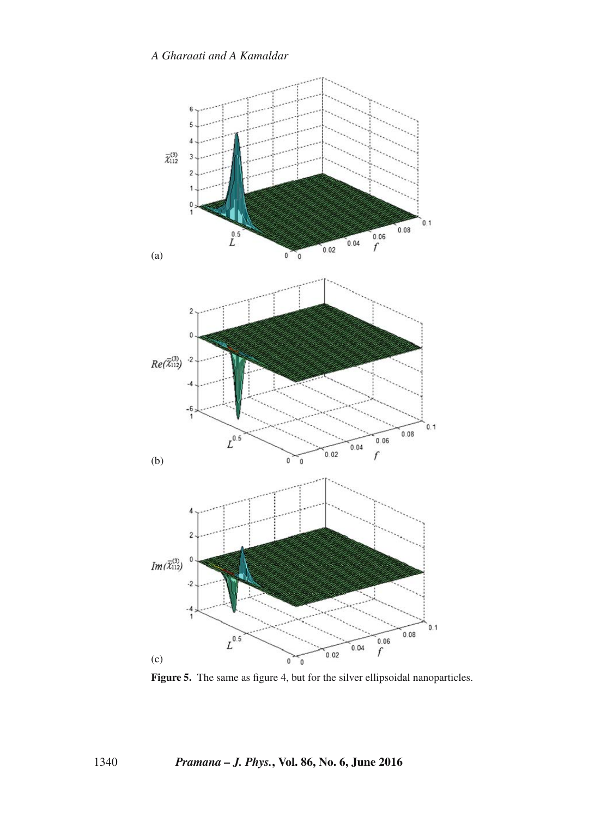

Figure 5. The same as figure 4, but for the silver ellipsoidal nanoparticles.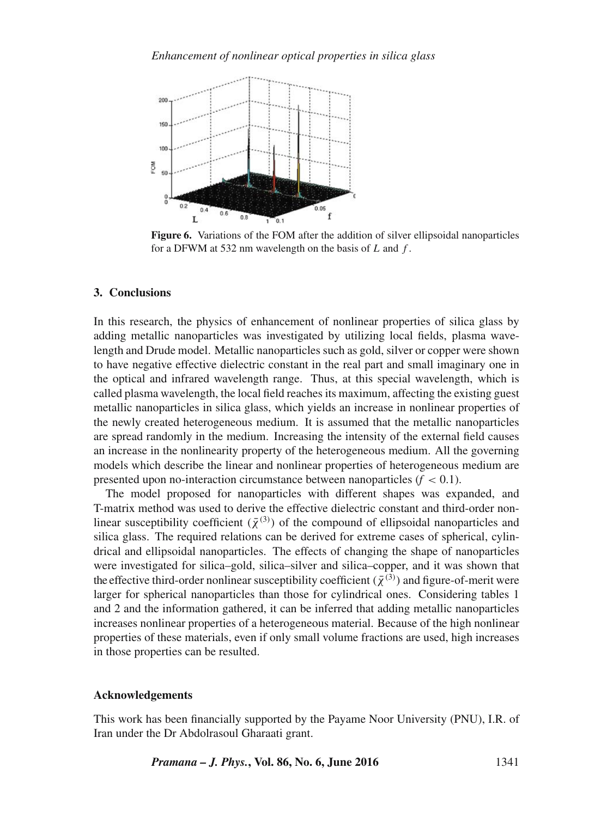

**Figure 6.** Variations of the FOM after the addition of silver ellipsoidal nanoparticles for a DFWM at 532 nm wavelength on the basis of  $L$  and  $f$ .

## **3. Conclusions**

In this research, the physics of enhancement of nonlinear properties of silica glass by adding metallic nanoparticles was investigated by utilizing local fields, plasma wavelength and Drude model. Metallic nanoparticles such as gold, silver or copper were shown to have negative effective dielectric constant in the real part and small imaginary one in the optical and infrared wavelength range. Thus, at this special wavelength, which is called plasma wavelength, the local field reaches its maximum, affecting the existing guest metallic nanoparticles in silica glass, which yields an increase in nonlinear properties of the newly created heterogeneous medium. It is assumed that the metallic nanoparticles are spread randomly in the medium. Increasing the intensity of the external field causes an increase in the nonlinearity property of the heterogeneous medium. All the governing models which describe the linear and nonlinear properties of heterogeneous medium are presented upon no-interaction circumstance between nanoparticles  $(f < 0.1)$ .

The model proposed for nanoparticles with different shapes was expanded, and T-matrix method was used to derive the effective dielectric constant and third-order nonlinear susceptibility coefficient  $(\bar{\chi}^{(3)})$  of the compound of ellipsoidal nanoparticles and<br>silica glass. The required relations can be derived for extreme cases of spherical cylinsilica glass. The required relations can be derived for extreme cases of spherical, cylindrical and ellipsoidal nanoparticles. The effects of changing the shape of nanoparticles were investigated for silica–gold, silica–silver and silica–copper, and it was shown that the effective third-order nonlinear susceptibility coefficient  $(\bar{\chi}^{(3)})$  and figure-of-merit were<br>larger for spherical nanoparticles than those for cylindrical ones. Considering tables 1 larger for spherical nanoparticles than those for cylindrical ones. Considering tables 1 and 2 and the information gathered, it can be inferred that adding metallic nanoparticles increases nonlinear properties of a heterogeneous material. Because of the high nonlinear properties of these materials, even if only small volume fractions are used, high increases in those properties can be resulted.

#### **Acknowledgements**

This work has been financially supported by the Payame Noor University (PNU), I.R. of Iran under the Dr Abdolrasoul Gharaati grant.